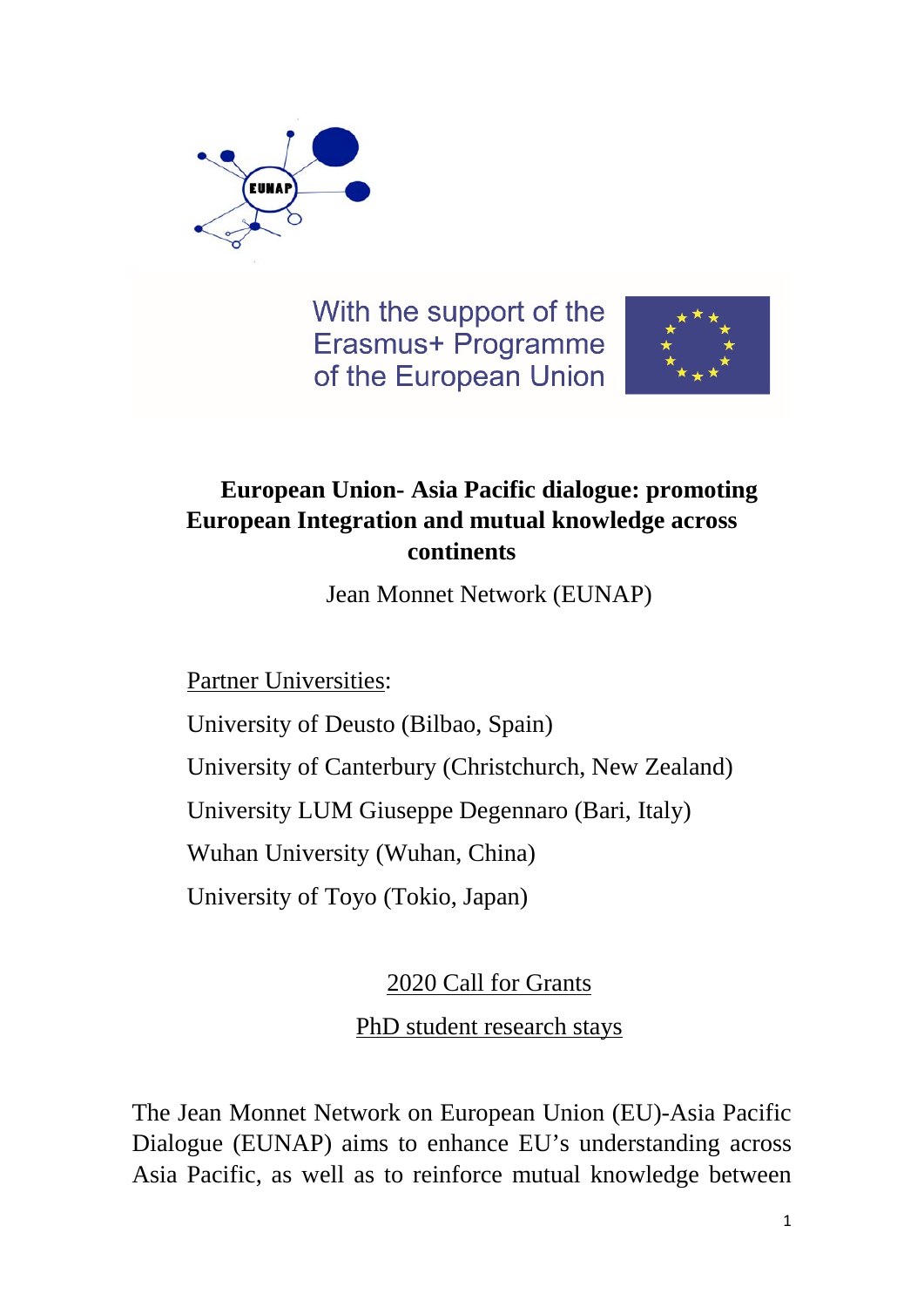

With the support of the Erasmus+ Programme of the European Union



## **European Union- Asia Pacific dialogue: promoting European Integration and mutual knowledge across continents**

Jean Monnet Network (EUNAP)

Partner Universities:

University of Deusto (Bilbao, Spain)

University of Canterbury (Christchurch, New Zealand)

University LUM Giuseppe Degennaro (Bari, Italy)

Wuhan University (Wuhan, China)

University of Toyo (Tokio, Japan)

2020 Call for Grants

PhD student research stays

The Jean Monnet Network on European Union (EU)-Asia Pacific Dialogue (EUNAP) aims to enhance EU's understanding across Asia Pacific, as well as to reinforce mutual knowledge between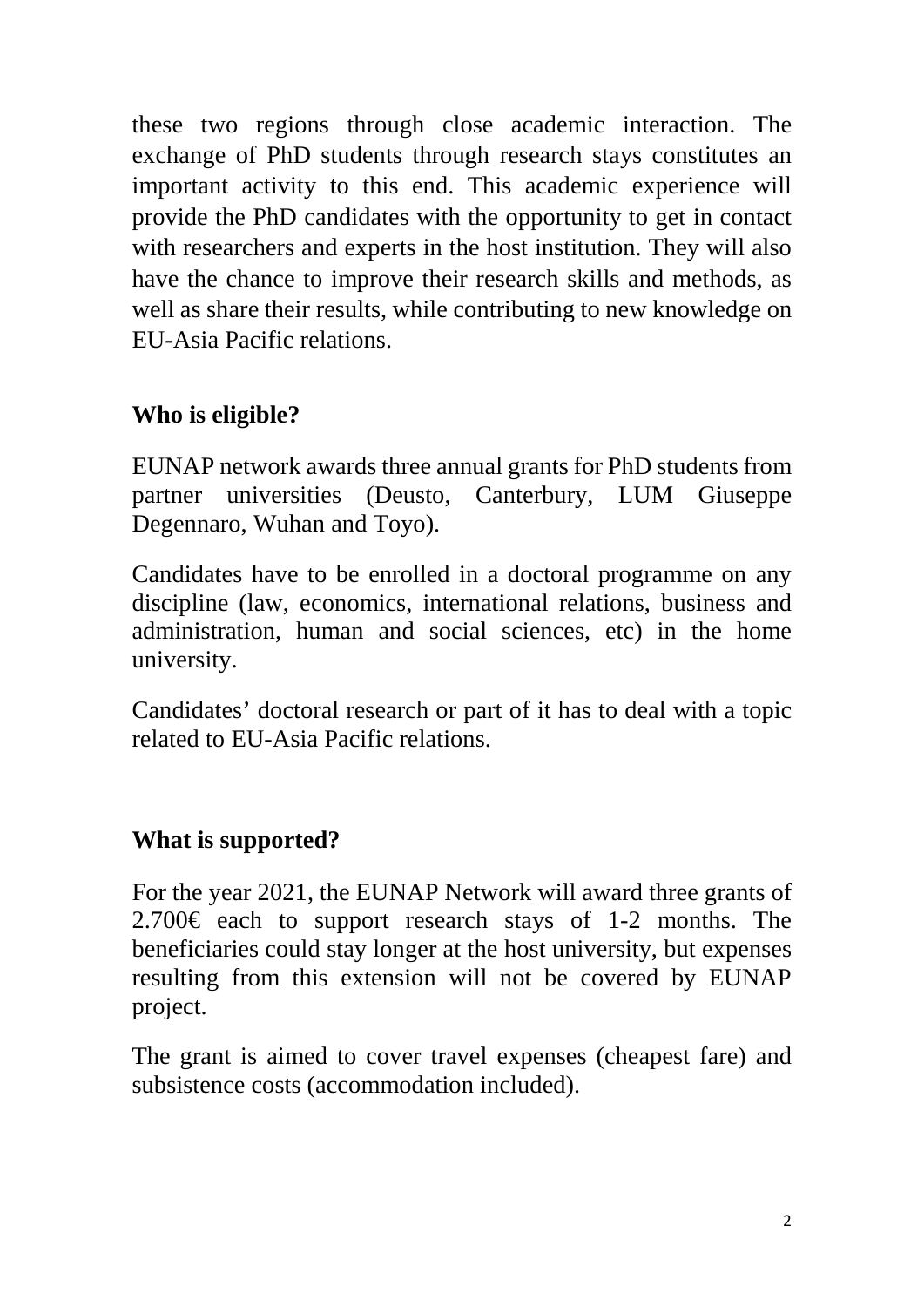these two regions through close academic interaction. The exchange of PhD students through research stays constitutes an important activity to this end. This academic experience will provide the PhD candidates with the opportunity to get in contact with researchers and experts in the host institution. They will also have the chance to improve their research skills and methods, as well as share their results, while contributing to new knowledge on EU-Asia Pacific relations.

## **Who is eligible?**

EUNAP network awards three annual grants for PhD students from partner universities (Deusto, Canterbury, LUM Giuseppe Degennaro, Wuhan and Toyo).

Candidates have to be enrolled in a doctoral programme on any discipline (law, economics, international relations, business and administration, human and social sciences, etc) in the home university.

Candidates' doctoral research or part of it has to deal with a topic related to EU-Asia Pacific relations.

### **What is supported?**

For the year 2021, the EUNAP Network will award three grants of 2.700€ each to support research stays of 1-2 months. The beneficiaries could stay longer at the host university, but expenses resulting from this extension will not be covered by EUNAP project.

The grant is aimed to cover travel expenses (cheapest fare) and subsistence costs (accommodation included).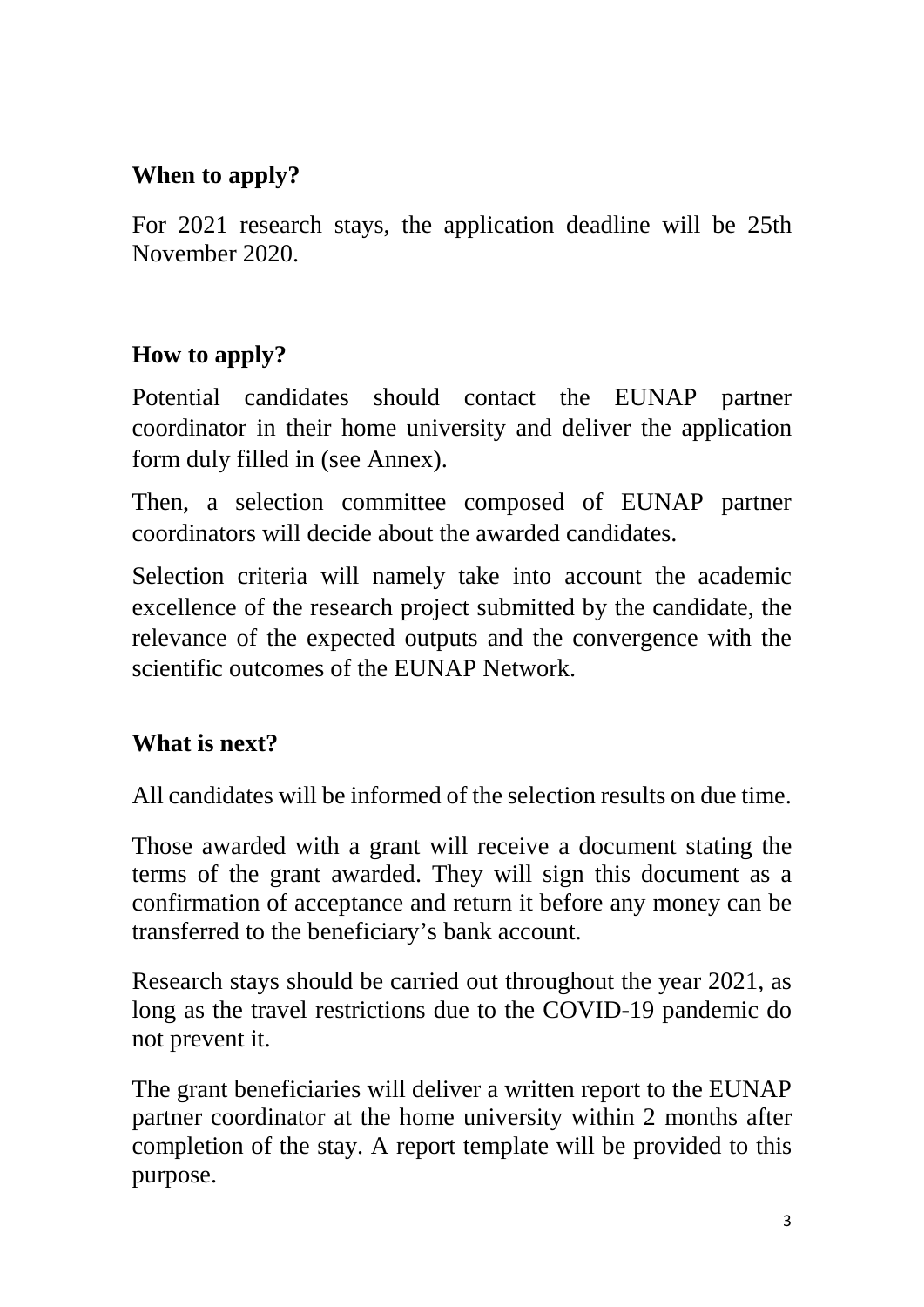## **When to apply?**

For 2021 research stays, the application deadline will be 25th November 2020.

# **How to apply?**

Potential candidates should contact the EUNAP partner coordinator in their home university and deliver the application form duly filled in (see Annex).

Then, a selection committee composed of EUNAP partner coordinators will decide about the awarded candidates.

Selection criteria will namely take into account the academic excellence of the research project submitted by the candidate, the relevance of the expected outputs and the convergence with the scientific outcomes of the EUNAP Network.

## **What is next?**

All candidates will be informed of the selection results on due time.

Those awarded with a grant will receive a document stating the terms of the grant awarded. They will sign this document as a confirmation of acceptance and return it before any money can be transferred to the beneficiary's bank account.

Research stays should be carried out throughout the year 2021, as long as the travel restrictions due to the COVID-19 pandemic do not prevent it.

The grant beneficiaries will deliver a written report to the EUNAP partner coordinator at the home university within 2 months after completion of the stay. A report template will be provided to this purpose.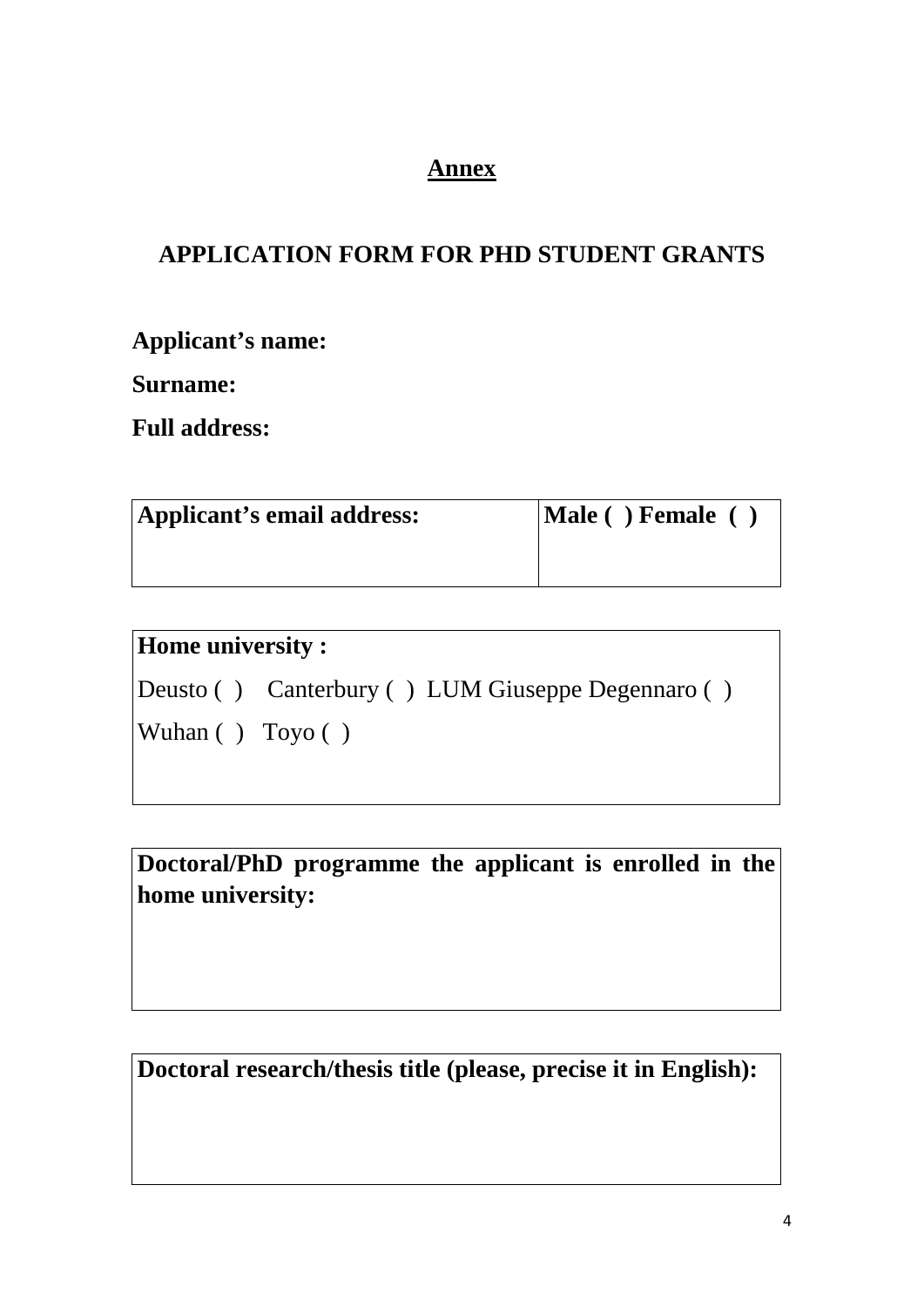### **Annex**

## **APPLICATION FORM FOR PHD STUDENT GRANTS**

**Applicant's name:**

**Surname:**

**Full address:**

| Applicant's email address: | $ \text{Male}(\ )$ Female $(\ )$ |
|----------------------------|----------------------------------|
|                            |                                  |

| <b>Home university:</b>              |                                                    |
|--------------------------------------|----------------------------------------------------|
|                                      | (Deusto () Canterbury () LUM Giuseppe Degennaro () |
| $\forall$ Wuhan () $\forall$ Toyo () |                                                    |
|                                      |                                                    |

**Doctoral/PhD programme the applicant is enrolled in the home university:**

**Doctoral research/thesis title (please, precise it in English):**